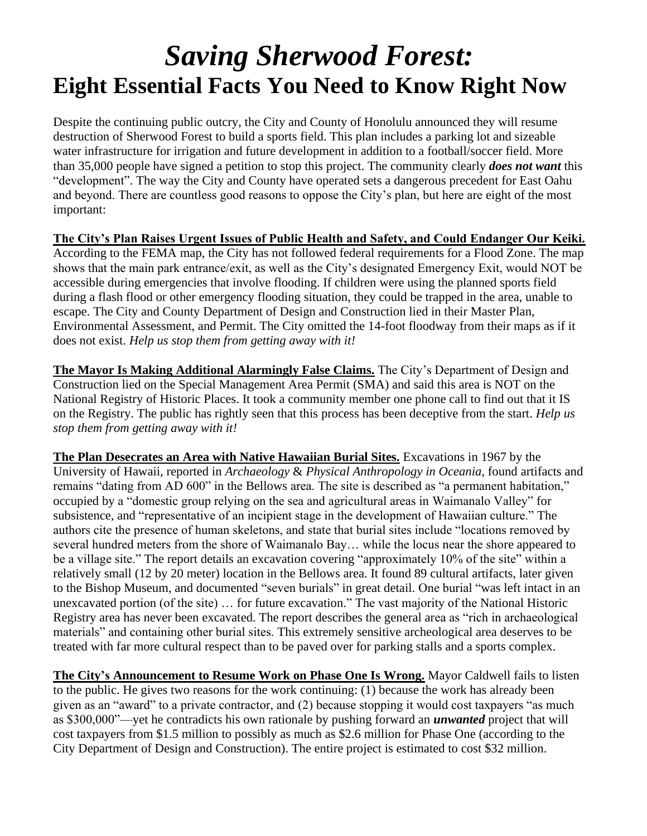## *Saving Sherwood Forest:* **Eight Essential Facts You Need to Know Right Now**

Despite the continuing public outcry, the City and County of Honolulu announced they will resume destruction of Sherwood Forest to build a sports field. This plan includes a parking lot and sizeable water infrastructure for irrigation and future development in addition to a football/soccer field. More than 35,000 people have signed a petition to stop this project. The community clearly *does not want* this "development". The way the City and County have operated sets a dangerous precedent for East Oahu and beyond. There are countless good reasons to oppose the City's plan, but here are eight of the most important:

**The City's Plan Raises Urgent Issues of Public Health and Safety, and Could Endanger Our Keiki.** According to the FEMA map, the City has not followed federal requirements for a Flood Zone. The map shows that the main park entrance/exit, as well as the City's designated Emergency Exit, would NOT be accessible during emergencies that involve flooding. If children were using the planned sports field during a flash flood or other emergency flooding situation, they could be trapped in the area, unable to escape. The City and County Department of Design and Construction lied in their Master Plan, Environmental Assessment, and Permit. The City omitted the 14-foot floodway from their maps as if it does not exist. *Help us stop them from getting away with it!*

**The Mayor Is Making Additional Alarmingly False Claims.** The City's Department of Design and Construction lied on the Special Management Area Permit (SMA) and said this area is NOT on the National Registry of Historic Places. It took a community member one phone call to find out that it IS on the Registry. The public has rightly seen that this process has been deceptive from the start. *Help us stop them from getting away with it!*

**The Plan Desecrates an Area with Native Hawaiian Burial Sites.** Excavations in 1967 by the University of Hawaii, reported in *Archaeology* & *Physical Anthropology in Oceania*, found artifacts and remains "dating from AD 600" in the Bellows area. The site is described as "a permanent habitation," occupied by a "domestic group relying on the sea and agricultural areas in Waimanalo Valley" for subsistence, and "representative of an incipient stage in the development of Hawaiian culture." The authors cite the presence of human skeletons, and state that burial sites include "locations removed by several hundred meters from the shore of Waimanalo Bay… while the locus near the shore appeared to be a village site." The report details an excavation covering "approximately 10% of the site" within a relatively small (12 by 20 meter) location in the Bellows area. It found 89 cultural artifacts, later given to the Bishop Museum, and documented "seven burials" in great detail. One burial "was left intact in an unexcavated portion (of the site) … for future excavation." The vast majority of the National Historic Registry area has never been excavated. The report describes the general area as "rich in archaeological materials" and containing other burial sites. This extremely sensitive archeological area deserves to be treated with far more cultural respect than to be paved over for parking stalls and a sports complex.

**The City's Announcement to Resume Work on Phase One Is Wrong.** Mayor Caldwell fails to listen to the public. He gives two reasons for the work continuing: (1) because the work has already been given as an "award" to a private contractor, and (2) because stopping it would cost taxpayers "as much as \$300,000"—yet he contradicts his own rationale by pushing forward an *unwanted* project that will cost taxpayers from \$1.5 million to possibly as much as \$2.6 million for Phase One (according to the City Department of Design and Construction). The entire project is estimated to cost \$32 million.